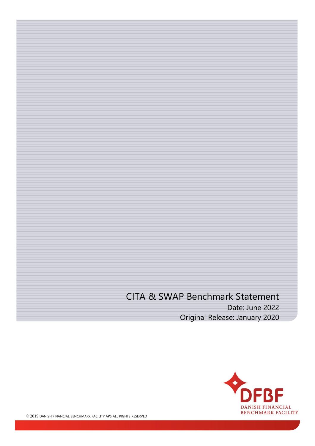# CITA & SWAP Benchmark Statement Date: June 2022 Original Release: January 2020

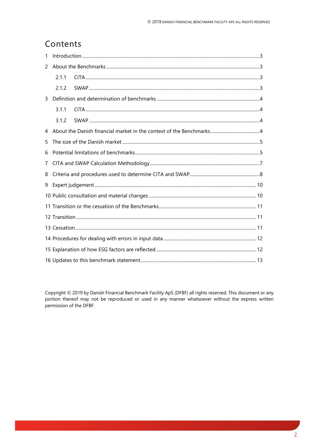### Contents

| 1 |       |  |  |
|---|-------|--|--|
| 2 |       |  |  |
|   | 2.1.1 |  |  |
|   | 2.1.2 |  |  |
| 3 |       |  |  |
|   | 3.1.1 |  |  |
|   | 3.1.2 |  |  |
| 4 |       |  |  |
| 5 |       |  |  |
| 6 |       |  |  |
| 7 |       |  |  |
| 8 |       |  |  |
| 9 |       |  |  |
|   |       |  |  |
|   |       |  |  |
|   |       |  |  |
|   |       |  |  |
|   |       |  |  |
|   |       |  |  |
|   |       |  |  |

Copyright © 2019 by Danish Financial Benchmark Facility ApS (DFBF) all rights reserved. This document or any portion thereof may not be reproduced or used in any manner whatsoever without the express written permission of the DFBF.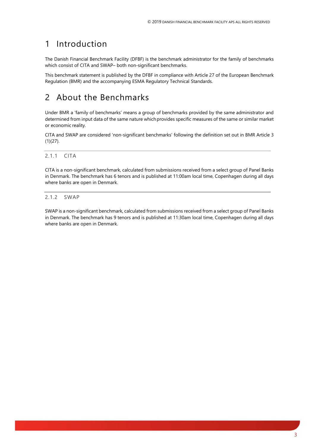### <span id="page-2-0"></span>1 Introduction

The Danish Financial Benchmark Facility (DFBF) is the benchmark administrator for the family of benchmarks which consist of CITA and SWAP– both non-significant benchmarks.

This benchmark statement is published by the DFBF in compliance with Article 27 of the European Benchmark Regulation (BMR) and the accompanying ESMA Regulatory Technical Standards.

## <span id="page-2-1"></span>2 About the Benchmarks

Under BMR a 'family of benchmarks' means a group of benchmarks provided by the same administrator and determined from input data of the same nature which provides specific measures of the same or similar market or economic reality.

CITA and SWAP are considered 'non-significant benchmarks' following the definition set out in BMR Article 3 (1)(27).

#### <span id="page-2-2"></span>2.1.1 CITA

CITA is a non-significant benchmark, calculated from submissions received from a select group of Panel Banks in Denmark. The benchmark has 6 tenors and is published at 11:00am local time, Copenhagen during all days where banks are open in Denmark.

#### <span id="page-2-3"></span>2.1.2 SWAP

SWAP is a non-significant benchmark, calculated from submissions received from a select group of Panel Banks in Denmark. The benchmark has 9 tenors and is published at 11:30am local time, Copenhagen during all days where banks are open in Denmark.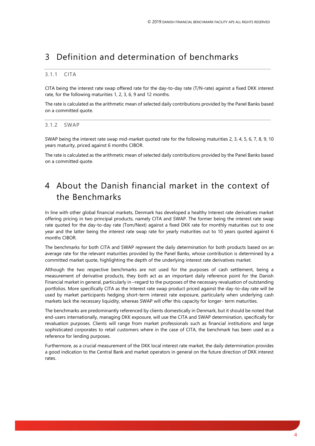### <span id="page-3-0"></span>3 Definition and determination of benchmarks

#### <span id="page-3-1"></span>3.1.1 CITA

CITA being the interest rate swap offered rate for the day-to-day rate (T/N-rate) against a fixed DKK interest rate, for the following maturities 1, 2, 3, 6, 9 and 12 months.

The rate is calculated as the arithmetic mean of selected daily contributions provided by the Panel Banks based on a committed quote.

#### <span id="page-3-2"></span>3.1.2 SWAP

SWAP being the interest rate swap mid-market quoted rate for the following maturities 2, 3, 4, 5, 6, 7, 8, 9, 10 years maturity, priced against 6 months CIBOR.

The rate is calculated as the arithmetic mean of selected daily contributions provided by the Panel Banks based on a committed quote.

### <span id="page-3-3"></span>4 About the Danish financial market in the context of the Benchmarks

In line with other global financial markets, Denmark has developed a healthy Interest rate derivatives market offering pricing in two principal products, namely CITA and SWAP. The former being the interest rate swap rate quoted for the day-to-day rate (Tom/Next) against a fixed DKK rate for monthly maturities out to one year and the latter being the interest rate swap rate for yearly maturities out to 10 years quoted against 6 months CIBOR.

The benchmarks for both CITA and SWAP represent the daily determination for both products based on an average rate for the relevant maturities provided by the Panel Banks, whose contribution is determined by a committed market quote, highlighting the depth of the underlying interest rate derivatives market.

Although the two respective benchmarks are not used for the purposes of cash settlement, being a measurement of derivative products, they both act as an important daily reference point for the Danish Financial market in general, particularly in –regard to the purposes of the necessary revaluation of outstanding portfolios. More specifically CITA as the Interest rate swap product priced against the day-to-day rate will be used by market participants hedging short-term interest rate exposure, particularly when underlying cash markets lack the necessary liquidity, whereas SWAP will offer this capacity for longer- term maturities.

The benchmarks are predominantly referenced by clients domestically in Denmark, but it should be noted that end-users internationally, managing DKK exposure, will use the CITA and SWAP determination, specifically for revaluation purposes. Clients will range from market professionals such as financial institutions and large sophisticated corporates to retail customers where in the case of CITA, the benchmark has been used as a reference for lending purposes.

Furthermore, as a crucial measurement of the DKK local interest rate market, the daily determination provides a good indication to the Central Bank and market operators in general on the future direction of DKK interest rates.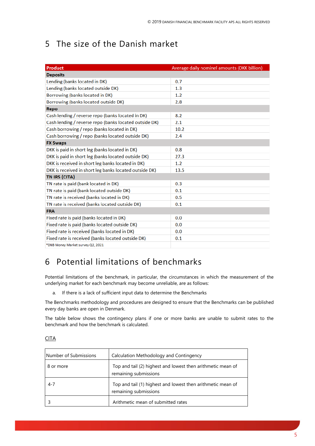# <span id="page-4-0"></span>5 The size of the Danish market

| Product                                                | Average daily nominel amounts (DKK billion) |
|--------------------------------------------------------|---------------------------------------------|
| <b>Deposits</b>                                        |                                             |
| Lending (banks located in DK)                          | 0.7                                         |
| Lending (banks located outside DK)                     | 1.3                                         |
| Borrowing (banks located in DK)                        | 1.2                                         |
| Borrowing (banks located outside DK)                   | 2.8                                         |
| Repo                                                   |                                             |
| Cash lending / reverse repo (banks located in DK)      | 8.2                                         |
| Cash lending / reverse repo (banks located outside DK) | 2.1                                         |
| Cash borrowing / repo (banks located in DK)            | 10.2                                        |
| Cash borrowing / repo (banks located outside DK)       | 2.4                                         |
| <b>FX Swaps</b>                                        |                                             |
| DKK is paid in short leg (banks located in DK)         | 0.8                                         |
| DKK is paid in short leg (banks located outside DK)    | 27.3                                        |
| DKK is received in short leg banks located in DK)      | 1.2                                         |
| DKK is received in short leg banks located outside DK) | 13.5                                        |
| TN IRS (CITA)                                          |                                             |
| TN rate is paid (bank located in DK)                   | 0.3                                         |
| TN rate is paid (bank located outside DK)              | 0.1                                         |
| TN rate is received (banks located in DK)              | 0.5                                         |
| TN rate is received (banks located outside DK)         | 0.1                                         |
| <b>FRA</b>                                             |                                             |
| Fixed rate is paid (banks located in DK)               | 0.0                                         |
| Fixed rate is paid (banks located outside DK)          | 0.0                                         |
| Fixed rate is received (banks located in DK)           | 0.0                                         |
| Fixed rate is received (banks located outside DK)      | 0.1                                         |
| *DNB Money Market survey Q2, 2021                      |                                             |

## <span id="page-4-1"></span>6 Potential limitations of benchmarks

Potential limitations of the benchmark, in particular, the circumstances in which the measurement of the underlying market for each benchmark may become unreliable, are as follows:

a. If there is a lack of sufficient input data to determine the Benchmarks

The Benchmarks methodology and procedures are designed to ensure that the Benchmarks can be published every day banks are open in Denmark.

The table below shows the contingency plans if one or more banks are unable to submit rates to the benchmark and how the benchmark is calculated.

| Number of Submissions | Calculation Methodology and Contingency                                              |
|-----------------------|--------------------------------------------------------------------------------------|
| 8 or more             | Top and tail (2) highest and lowest then arithmetic mean of<br>remaining submissions |
| $4 - 7$               | Top and tail (1) highest and lowest then arithmetic mean of<br>remaining submissions |
|                       | Arithmetic mean of submitted rates                                                   |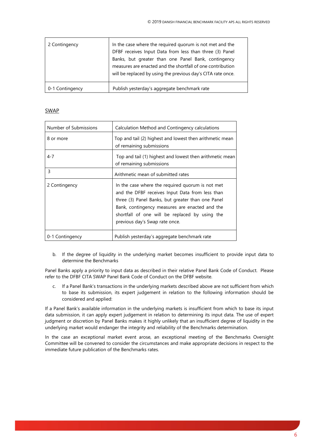| 2 Contingency   | In the case where the required quorum is not met and the<br>DFBF receives Input Data from less than three (3) Panel<br>Banks, but greater than one Panel Bank, contingency<br>measures are enacted and the shortfall of one contribution<br>will be replaced by using the previous day's CITA rate once. |
|-----------------|----------------------------------------------------------------------------------------------------------------------------------------------------------------------------------------------------------------------------------------------------------------------------------------------------------|
| 0-1 Contingency | Publish yesterday's aggregate benchmark rate                                                                                                                                                                                                                                                             |

#### **SWAP**

| Number of Submissions | Calculation Method and Contingency calculations                                                                                                                                                                                                                                                |  |
|-----------------------|------------------------------------------------------------------------------------------------------------------------------------------------------------------------------------------------------------------------------------------------------------------------------------------------|--|
| 8 or more             | Top and tail (2) highest and lowest then arithmetic mean<br>of remaining submissions                                                                                                                                                                                                           |  |
| 4-7                   | Top and tail (1) highest and lowest then arithmetic mean<br>of remaining submissions                                                                                                                                                                                                           |  |
| 3                     | Arithmetic mean of submitted rates                                                                                                                                                                                                                                                             |  |
| 2 Contingency         | In the case where the required quorum is not met<br>and the DFBF receives Input Data from less than<br>three (3) Panel Banks, but greater than one Panel<br>Bank, contingency measures are enacted and the<br>shortfall of one will be replaced by using the<br>previous day's Swap rate once. |  |
| 0-1 Contingency       | Publish yesterday's aggregate benchmark rate                                                                                                                                                                                                                                                   |  |

b. If the degree of liquidity in the underlying market becomes insufficient to provide input data to determine the Benchmarks

Panel Banks apply a priority to input data as described in their relative Panel Bank Code of Conduct. Please refer to the DFBF CITA SWAP Panel Bank Code of Conduct on the DFBF website.

c. If a Panel Bank's transactions in the underlying markets described above are not sufficient from which to base its submission, its expert judgement in relation to the following information should be considered and applied:

If a Panel Bank's available information in the underlying markets is insufficient from which to base its input data submission, it can apply expert judgement in relation to determining its input data. The use of expert judgment or discretion by Panel Banks makes it highly unlikely that an insufficient degree of liquidity in the underlying market would endanger the integrity and reliability of the Benchmarks determination.

In the case an exceptional market event arose, an exceptional meeting of the Benchmarks Oversight Committee will be convened to consider the circumstances and make appropriate decisions in respect to the immediate future publication of the Benchmarks rates.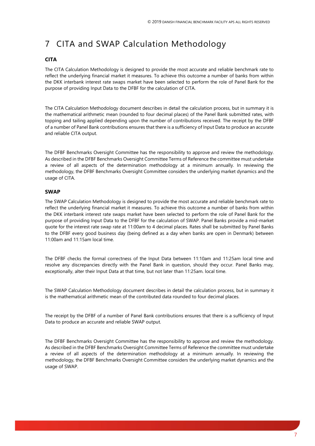# <span id="page-6-0"></span>7 CITA and SWAP Calculation Methodology

#### **CITA**

The CITA Calculation Methodology is designed to provide the most accurate and reliable benchmark rate to reflect the underlying financial market it measures. To achieve this outcome a number of banks from within the DKK interbank interest rate swaps market have been selected to perform the role of Panel Bank for the purpose of providing Input Data to the DFBF for the calculation of CITA.

The CITA Calculation Methodology document describes in detail the calculation process, but in summary it is the mathematical arithmetic mean (rounded to four decimal places) of the Panel Bank submitted rates, with topping and tailing applied depending upon the number of contributions received. The receipt by the DFBF of a number of Panel Bank contributions ensures that there is a sufficiency of Input Data to produce an accurate and reliable CITA output.

The DFBF Benchmarks Oversight Committee has the responsibility to approve and review the methodology. As described in the DFBF Benchmarks Oversight Committee Terms of Reference the committee must undertake a review of all aspects of the determination methodology at a minimum annually. In reviewing the methodology, the DFBF Benchmarks Oversight Committee considers the underlying market dynamics and the usage of CITA.

#### **SWAP**

The SWAP Calculation Methodology is designed to provide the most accurate and reliable benchmark rate to reflect the underlying financial market it measures. To achieve this outcome a number of banks from within the DKK interbank interest rate swaps market have been selected to perform the role of Panel Bank for the purpose of providing Input Data to the DFBF for the calculation of SWAP. Panel Banks provide a mid-market quote for the interest rate swap rate at 11:00am to 4 decimal places. Rates shall be submitted by Panel Banks to the DFBF every good business day (being defined as a day when banks are open in Denmark) between 11:00am and 11:15am local time.

The DFBF checks the formal correctness of the Input Data between 11:10am and 11:25am local time and resolve any discrepancies directly with the Panel Bank in question, should they occur. Panel Banks may, exceptionally, alter their Input Data at that time, but not later than 11:25am. local time.

The SWAP Calculation Methodology document describes in detail the calculation process, but in summary it is the mathematical arithmetic mean of the contributed data rounded to four decimal places.

The receipt by the DFBF of a number of Panel Bank contributions ensures that there is a sufficiency of Input Data to produce an accurate and reliable SWAP output.

The DFBF Benchmarks Oversight Committee has the responsibility to approve and review the methodology. As described in the DFBF Benchmarks Oversight Committee Terms of Reference the committee must undertake a review of all aspects of the determination methodology at a minimum annually. In reviewing the methodology, the DFBF Benchmarks Oversight Committee considers the underlying market dynamics and the usage of SWAP.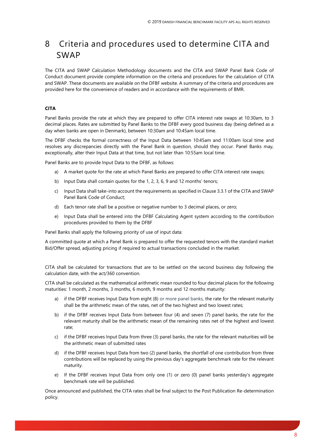## <span id="page-7-0"></span>8 Criteria and procedures used to determine CITA and SWAP

The CITA and SWAP Calculation Methodology documents and the CITA and SWAP Panel Bank Code of Conduct document provide complete information on the criteria and procedures for the calculation of CITA and SWAP. These documents are available on the DFBF website. A summary of the criteria and procedures are provided here for the convenience of readers and in accordance with the requirements of BMR.

#### **CITA**

Panel Banks provide the rate at which they are prepared to offer CITA interest rate swaps at 10:30am, to 3 decimal places. Rates are submitted by Panel Banks to the DFBF every good business day (being defined as a day when banks are open in Denmark), between 10:30am and 10:45am local time.

The DFBF checks the formal correctness of the Input Data between 10:45am and 11:00am local time and resolves any discrepancies directly with the Panel Bank in question, should they occur. Panel Banks may, exceptionally, alter their Input Data at that time, but not later than 10:55am local time.

Panel Banks are to provide Input Data to the DFBF, as follows:

- a) A market quote for the rate at which Panel Banks are prepared to offer CITA interest rate swaps;
- b) Input Data shall contain quotes for the 1, 2, 3, 6, 9 and 12 months' tenors;
- c) Input Data shall take-into account the requirements as specified in Clause 3.3.1 of the CITA and SWAP Panel Bank Code of Conduct;
- d) Each tenor rate shall be a positive or negative number to 3 decimal places, or zero;
- e) Input Data shall be entered into the DFBF Calculating Agent system according to the contribution procedures provided to them by the DFBF

Panel Banks shall apply the following priority of use of input data:

A committed quote at which a Panel Bank is prepared to offer the requested tenors with the standard market Bid/Offer spread, adjusting pricing if required to actual transactions concluded in the market.

CITA shall be calculated for transactions that are to be settled on the second business day following the calculation date, with the act/360 convention.

CITA shall be calculated as the mathematical arithmetic mean rounded to four decimal places for the following maturities: 1 month, 2 months, 3 months, 6 month, 9 months and 12 months maturity:

- a) if the DFBF receives Input Data from eight (8) or more panel banks, the rate for the relevant maturity shall be the arithmetic mean of the rates, net of the two highest and two lowest rates;
- b) if the DFBF receives Input Data from between four (4) and seven (7) panel banks, the rate for the relevant maturity shall be the arithmetic mean of the remaining rates net of the highest and lowest rate;
- c) if the DFBF receives Input Data from three (3) panel banks, the rate for the relevant maturities will be the arithmetic mean of submitted rates
- d) if the DFBF receives Input Data from two (2) panel banks, the shortfall of one contribution from three contributions will be replaced by using the previous day's aggregate benchmark rate for the relevant maturity.
- e) If the DFBF receives Input Data from only one (1) or zero (0) panel banks yesterday's aggregate benchmark rate will be published.

Once announced and published, the CITA rates shall be final subject to the Post Publication Re-determination policy.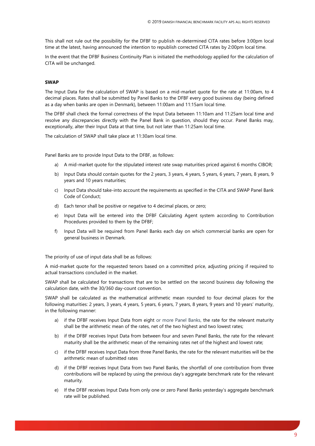This shall not rule out the possibility for the DFBF to publish re-determined CITA rates before 3:00pm local time at the latest, having announced the intention to republish corrected CITA rates by 2:00pm local time.

In the event that the DFBF Business Continuity Plan is initiated the methodology applied for the calculation of CITA will be unchanged.

#### **SWAP**

The Input Data for the calculation of SWAP is based on a mid-market quote for the rate at 11:00am, to 4 decimal places. Rates shall be submitted by Panel Banks to the DFBF every good business day (being defined as a day when banks are open in Denmark), between 11:00am and 11:15am local time.

The DFBF shall check the formal correctness of the Input Data between 11:10am and 11:25am local time and resolve any discrepancies directly with the Panel Bank in question, should they occur. Panel Banks may, exceptionally, alter their Input Data at that time, but not later than 11:25am local time.

The calculation of SWAP shall take place at 11:30am local time.

Panel Banks are to provide Input Data to the DFBF, as follows:

- a) A mid-market quote for the stipulated interest rate swap maturities priced against 6 months CIBOR;
- b) Input Data should contain quotes for the 2 years, 3 years, 4 years, 5 years, 6 years, 7 years, 8 years, 9 years and 10 years maturities;
- c) Input Data should take-into account the requirements as specified in the CITA and SWAP Panel Bank Code of Conduct;
- d) Each tenor shall be positive or negative to 4 decimal places, or zero;
- e) Input Data will be entered into the DFBF Calculating Agent system according to Contribution Procedures provided to them by the DFBF;
- f) Input Data will be required from Panel Banks each day on which commercial banks are open for general business in Denmark.

The priority of use of input data shall be as follows:

A mid-market quote for the requested tenors based on a committed price, adjusting pricing if required to actual transactions concluded in the market.

SWAP shall be calculated for transactions that are to be settled on the second business day following the calculation date, with the 30/360 day-count convention.

SWAP shall be calculated as the mathematical arithmetic mean rounded to four decimal places for the following maturities: 2 years, 3 years, 4 years, 5 years, 6 years, 7 years, 8 years, 9 years and 10 years' maturity, in the following manner:

- a) if the DFBF receives Input Data from eight or more Panel Banks, the rate for the relevant maturity shall be the arithmetic mean of the rates, net of the two highest and two lowest rates;
- b) if the DFBF receives Input Data from between four and seven Panel Banks, the rate for the relevant maturity shall be the arithmetic mean of the remaining rates net of the highest and lowest rate;
- c) if the DFBF receives Input Data from three Panel Banks, the rate for the relevant maturities will be the arithmetic mean of submitted rates
- d) if the DFBF receives Input Data from two Panel Banks, the shortfall of one contribution from three contributions will be replaced by using the previous day's aggregate benchmark rate for the relevant maturity.
- e) If the DFBF receives Input Data from only one or zero Panel Banks yesterday's aggregate benchmark rate will be published.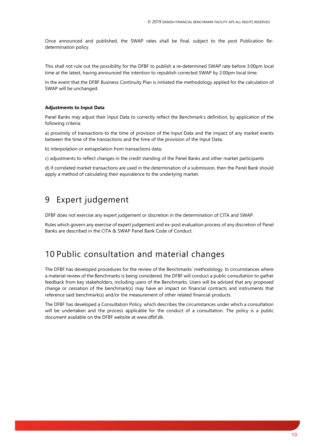Once announced and published, the SWAP rates shall be final, subject to the post Publication Redetermination policy.

This shall not rule out the possibility for the DFBF to publish a re-determined SWAP rate before 3:00pm local time at the latest, having announced the intention to republish corrected SWAP by 2:00pm local time.

In the event that the DFBF Business Continuity Plan is initiated the methodology applied for the calculation of SWAP will be unchanged.

#### **Adjustments to Input Data**

Panel Banks may adjust their Input Data to correctly reflect the Benchmark's definition, by application of the following criteria:

a) proximity of transactions to the time of provision of the Input Data and the impact of any market events between the time of the transactions and the time of the provision of the Input Data;

b) interpolation or extrapolation from transactions data;

c) adjustments to reflect changes in the credit standing of the Panel Banks and other market participants

d) if correlated market transactions are used in the determination of a submission, then the Panel Bank should apply a method of calculating their equivalence to the underlying market.

### <span id="page-9-0"></span>9 Expert judgement

DFBF does not exercise any expert judgement or discretion in the determination of CITA and SWAP.

Rules which govern any exercise of expert judgement and ex-post evaluation process of any discretion of Panel Banks are described in the CITA & SWAP Panel Bank Code of Conduct.

### <span id="page-9-1"></span>10 Public consultation and material changes

The DFBF has developed procedures for the review of the Benchmarks' methodology. In circumstances where a material review of the Benchmarks is being considered, the DFBF will conduct a public consultation to gather feedback from key stakeholders, including users of the Benchmarks. Users will be advised that any proposed change or cessation of the benchmark(s) may have an impact on financial contracts and instruments that reference said benchmark(s) and/or the measurement of other related financial products.

The DFBF has developed a Consultation Policy, which describes the circumstances under which a consultation will be undertaken and the process applicable for the conduct of a consultation. The policy is a public document available on the DFBF website at www.dfbf.dk.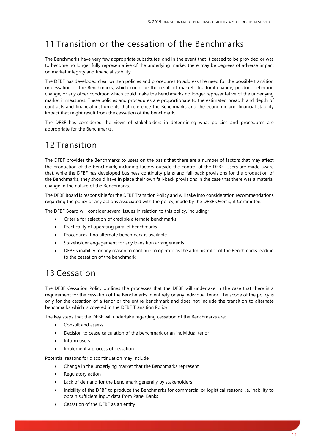## <span id="page-10-0"></span>11 Transition or the cessation of the Benchmarks

The Benchmarks have very few appropriate substitutes, and in the event that it ceased to be provided or was to become no longer fully representative of the underlying market there may be degrees of adverse impact on market integrity and financial stability.

The DFBF has developed clear written policies and procedures to address the need for the possible transition or cessation of the Benchmarks, which could be the result of market structural change, product definition change, or any other condition which could make the Benchmarks no longer representative of the underlying market it measures. These policies and procedures are proportionate to the estimated breadth and depth of contracts and financial instruments that reference the Benchmarks and the economic and financial stability impact that might result from the cessation of the benchmark.

The DFBF has considered the views of stakeholders in determining what policies and procedures are appropriate for the Benchmarks.

## <span id="page-10-1"></span>12 Transition

The DFBF provides the Benchmarks to users on the basis that there are a number of factors that may affect the production of the benchmark, including factors outside the control of the DFBF. Users are made aware that, while the DFBF has developed business continuity plans and fall-back provisions for the production of the Benchmarks, they should have in place their own fall-back provisions in the case that there was a material change in the nature of the Benchmarks.

The DFBF Board is responsible for the DFBF Transition Policy and will take into consideration recommendations regarding the policy or any actions associated with the policy, made by the DFBF Oversight Committee.

The DFBF Board will consider several issues in relation to this policy, including;

- Criteria for selection of credible alternate benchmarks
- Practicality of operating parallel benchmarks
- Procedures if no alternate benchmark is available
- Stakeholder engagement for any transition arrangements
- DFBF's inability for any reason to continue to operate as the administrator of the Benchmarks leading to the cessation of the benchmark.

### <span id="page-10-2"></span>13 Cessation

The DFBF Cessation Policy outlines the processes that the DFBF will undertake in the case that there is a requirement for the cessation of the Benchmarks in entirety or any individual tenor. The scope of the policy is only for the cessation of a tenor or the entire benchmark and does not include the transition to alternate benchmarks which is covered in the DFBF Transition Policy.

The key steps that the DFBF will undertake regarding cessation of the Benchmarks are;

- Consult and assess
- Decision to cease calculation of the benchmark or an individual tenor
- Inform users
- Implement a process of cessation

Potential reasons for discontinuation may include;

- Change in the underlying market that the Benchmarks represent
- Regulatory action
- Lack of demand for the benchmark generally by stakeholders
- Inability of the DFBF to produce the Benchmarks for commercial or logistical reasons i.e. inability to obtain sufficient input data from Panel Banks
- Cessation of the DFBF as an entity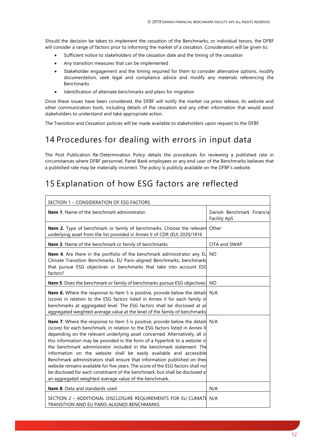Should the decision be taken to implement the cessation of the Benchmarks, or individual tenors, the DFBF will consider a range of factors prior to informing the market of a cessation. Consideration will be given to:

- Sufficient notice to stakeholders of the cessation date and the timing of the cessation
- Any transition measures that can be implemented
- Stakeholder engagement and the timing required for them to consider alternative options, modify documentation, seek legal and compliance advice and modify any materials referencing the Benchmarks
- Identification of alternate benchmarks and plans for migration

Once these issues have been considered, the DFBF will notify the market via press release, its website and other communication tools, including details of the cessation and any other information that would assist stakeholders to understand and take appropriate action.

<span id="page-11-0"></span>The Transition and Cessation policies will be made available to stakeholders upon request to the DFBF.

### 14 Procedures for dealing with errors in input data

The Post Publication Re-Determination Policy details the procedures for reviewing a published rate in circumstances where DFBF personnel, Panel Bank employees or any end-user of the Benchmarks believes that a published rate may be materially incorrect. The policy is publicly available on the DFBF's website.

### <span id="page-11-1"></span>15 Explanation of how ESG factors are reflected

| SECTION 1 - CONSIDERATION OF ESG FACTORS                                                                                                                                                                                                                                                                                                                                                                                                                                                                                                                                                                                                                                                                                                                                                       |                                                   |  |
|------------------------------------------------------------------------------------------------------------------------------------------------------------------------------------------------------------------------------------------------------------------------------------------------------------------------------------------------------------------------------------------------------------------------------------------------------------------------------------------------------------------------------------------------------------------------------------------------------------------------------------------------------------------------------------------------------------------------------------------------------------------------------------------------|---------------------------------------------------|--|
| <b>Item 1.</b> Name of the benchmark administrator.                                                                                                                                                                                                                                                                                                                                                                                                                                                                                                                                                                                                                                                                                                                                            | Danish Benchmark Financial<br><b>Facility ApS</b> |  |
| Item 2. Type of benchmark or family of benchmarks. Choose the relevant<br>underlying asset from the list provided in Annex II of CDR (EU) 2020/1816                                                                                                                                                                                                                                                                                                                                                                                                                                                                                                                                                                                                                                            | Other                                             |  |
| Item 3. Name of the benchmark or family of benchmarks.                                                                                                                                                                                                                                                                                                                                                                                                                                                                                                                                                                                                                                                                                                                                         | CITA and SWAP                                     |  |
| Item 4. Are there in the portfolio of the benchmark administrator any EU<br>Climate Transition Benchmarks, EU Paris-aligned Benchmarks, benchmarks<br>that pursue ESG objectives or benchmarks that take into account ESG<br>factors?                                                                                                                                                                                                                                                                                                                                                                                                                                                                                                                                                          | <b>NO</b>                                         |  |
| <b>Item 5</b> . Does the benchmark or family of benchmarks pursue ESG objectives?                                                                                                                                                                                                                                                                                                                                                                                                                                                                                                                                                                                                                                                                                                              | <b>NO</b>                                         |  |
| <b>Item 6.</b> Where the response to Item 5 is positive, provide below the details N/A<br>(score) in relation to the ESG factors listed in Annex II for each family o<br>benchmarks at aggregated level. The ESG factors shall be disclosed at ar<br>aggregated weighted average value at the level of the family of benchmarks                                                                                                                                                                                                                                                                                                                                                                                                                                                                |                                                   |  |
| <b>Item 7.</b> Where the response to Item 5 is positive, provide below the details N/A<br>(score) for each benchmark, in relation to the ESG factors listed in Annex II<br>depending on the relevant underlying asset concerned. Alternatively, all o<br>this information may be provided in the form of a hyperlink to a website of<br>the benchmark administrator included in the benchmark statement. The<br>information on the website shall be easily available and accessible<br>Benchmark administrators shall ensure that information published on their<br>website remains available for five years. The score of the ESG factors shall no<br>be disclosed for each constituent of the benchmark, but shall be disclosed at<br>an aggregated weighted average value of the benchmark. |                                                   |  |
| <b>Item 8.</b> Data and standards used                                                                                                                                                                                                                                                                                                                                                                                                                                                                                                                                                                                                                                                                                                                                                         | N/A                                               |  |
| SECTION 2 - ADDITIONAL DISCLOSURE REQUIREMENTS FOR EU CLIMATE<br>TRANSITION AND EU PARIS-ALIGNED BENCHMARKS                                                                                                                                                                                                                                                                                                                                                                                                                                                                                                                                                                                                                                                                                    | N/A                                               |  |